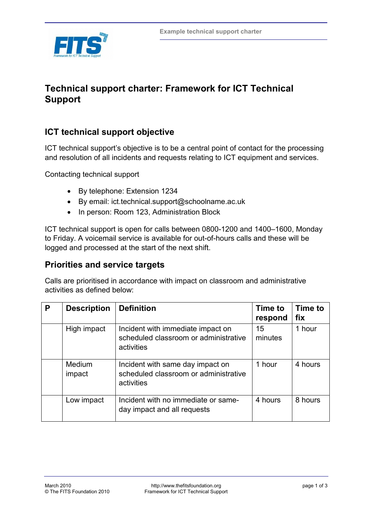

# **Technical support charter: Framework for ICT Technical Support**

# **ICT technical support objective**

ICT technical support's objective is to be a central point of contact for the processing and resolution of all incidents and requests relating to ICT equipment and services.

Contacting technical support

- By telephone: Extension 1234
- By email: ict.technical.support@schoolname.ac.uk
- In person: Room 123, Administration Block

ICT technical support is open for calls between 0800-1200 and 1400–1600, Monday to Friday. A voicemail service is available for out-of-hours calls and these will be logged and processed at the start of the next shift.

### **Priorities and service targets**

Calls are prioritised in accordance with impact on classroom and administrative activities as defined below:

| P | <b>Description</b> | <b>Definition</b>                                                                        | Time to<br>respond | Time to<br>fix |
|---|--------------------|------------------------------------------------------------------------------------------|--------------------|----------------|
|   | High impact        | Incident with immediate impact on<br>scheduled classroom or administrative<br>activities | 15<br>minutes      | 1 hour         |
|   | Medium<br>impact   | Incident with same day impact on<br>scheduled classroom or administrative<br>activities  | 1 hour             | 4 hours        |
|   | Low impact         | Incident with no immediate or same-<br>day impact and all requests                       | 4 hours            | 8 hours        |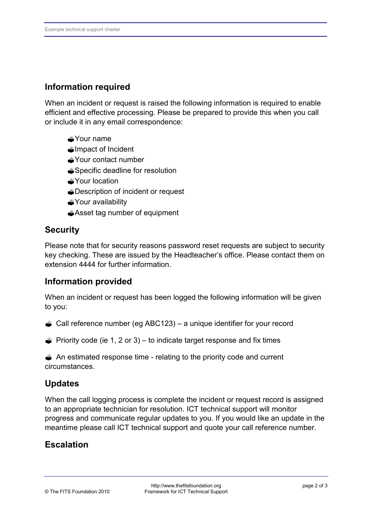### **Information required**

When an incident or request is raised the following information is required to enable efficient and effective processing. Please be prepared to provide this when you call or include it in any email correspondence:

- Your name
- *Almoact of Incident*
- Your contact number
- Specific deadline for resolution
- **x**Your location
- Description of incident or request
- Your availability
- Asset tag number of equipment

### **Security**

Please note that for security reasons password reset requests are subject to security key checking. These are issued by the Headteacher's office. Please contact them on extension 4444 for further information.

#### **Information provided**

When an incident or request has been logged the following information will be given to you:

- Call reference number (eg ABC123) a unique identifier for your record
- $\triangle$  Priority code (ie 1, 2 or 3) to indicate target response and fix times

 An estimated response time - relating to the priority code and current circumstances.

### **Updates**

When the call logging process is complete the incident or request record is assigned to an appropriate technician for resolution. ICT technical support will monitor progress and communicate regular updates to you. If you would like an update in the meantime please call ICT technical support and quote your call reference number.

# **Escalation**